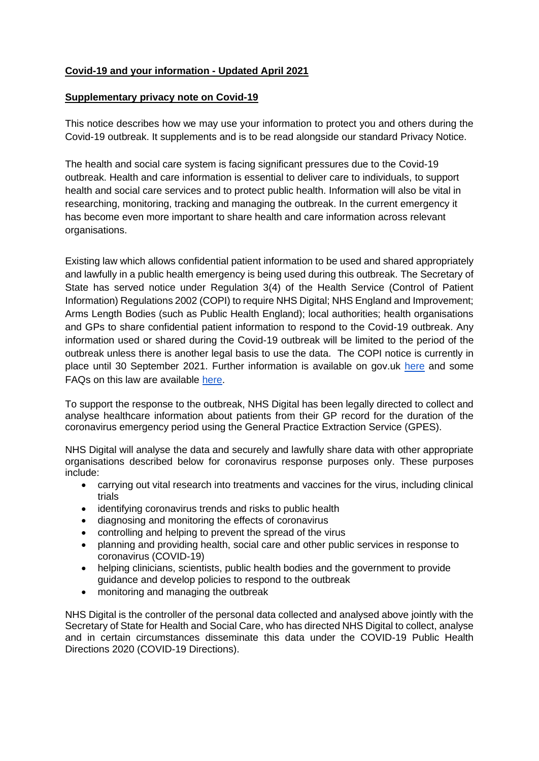## **Covid-19 and your information - Updated April 2021**

## **Supplementary privacy note on Covid-19**

This notice describes how we may use your information to protect you and others during the Covid-19 outbreak. It supplements and is to be read alongside our standard Privacy Notice.

The health and social care system is facing significant pressures due to the Covid-19 outbreak. Health and care information is essential to deliver care to individuals, to support health and social care services and to protect public health. Information will also be vital in researching, monitoring, tracking and managing the outbreak. In the current emergency it has become even more important to share health and care information across relevant organisations.

Existing law which allows confidential patient information to be used and shared appropriately and lawfully in a public health emergency is being used during this outbreak. The Secretary of State has served notice under Regulation 3(4) of the Health Service (Control of Patient Information) Regulations 2002 (COPI) to require NHS Digital; NHS England and Improvement; Arms Length Bodies (such as Public Health England); local authorities; health organisations and GPs to share confidential patient information to respond to the Covid-19 outbreak. Any information used or shared during the Covid-19 outbreak will be limited to the period of the outbreak unless there is another legal basis to use the data. The COPI notice is currently in place until 30 September 2021. Further information is available on gov.uk [here](https://www.gov.uk/government/publications/coronavirus-covid-19-notification-of-data-controllers-to-share-information?utm_source=d05aa30e-95d2-48e3-93e0-0a696c35bd3c&utm_medium=email&utm_campaign=govuk-notifications&utm_content=immediate) and some FAQs on this law are available [here.](https://www.nhsx.nhs.uk/key-information-and-tools/information-governance-guidance/COPI-notice-FAQs)

To support the response to the outbreak, NHS Digital has been legally directed to collect and analyse healthcare information about patients from their GP record for the duration of the coronavirus emergency period using the General Practice Extraction Service (GPES).

NHS Digital will analyse the data and securely and lawfully share data with other appropriate organisations described below for coronavirus response purposes only. These purposes include:

- carrying out vital research into treatments and vaccines for the virus, including clinical trials
- identifying coronavirus trends and risks to public health
- diagnosing and monitoring the effects of coronavirus
- controlling and helping to prevent the spread of the virus
- planning and providing health, social care and other public services in response to coronavirus (COVID-19)
- helping clinicians, scientists, public health bodies and the government to provide guidance and develop policies to respond to the outbreak
- monitoring and managing the outbreak

NHS Digital is the controller of the personal data collected and analysed above jointly with the Secretary of State for Health and Social Care, who has directed NHS Digital to collect, analyse and in certain circumstances disseminate this data under the COVID-19 Public Health Directions 2020 (COVID-19 Directions).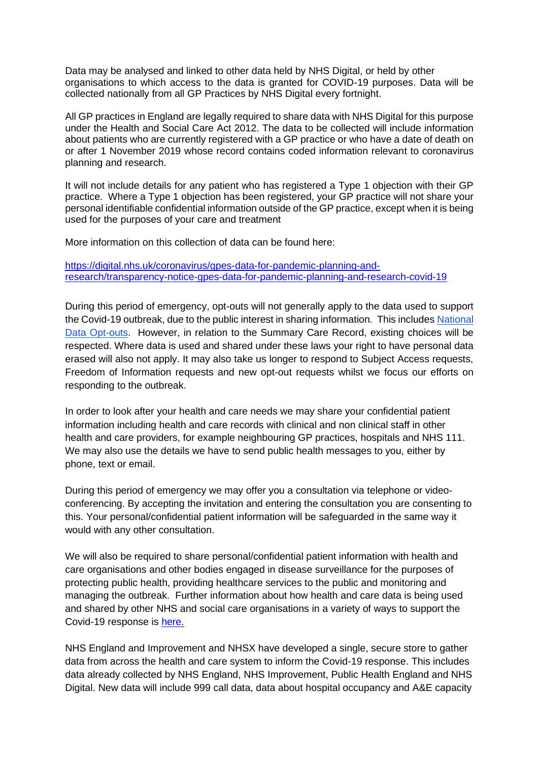Data may be analysed and linked to other data held by NHS Digital, or held by other organisations to which access to the data is granted for COVID-19 purposes. Data will be collected nationally from all GP Practices by NHS Digital every fortnight.

All GP practices in England are legally required to share data with NHS Digital for this purpose under the Health and Social Care Act 2012. The data to be collected will include information about patients who are currently registered with a GP practice or who have a date of death on or after 1 November 2019 whose record contains coded information relevant to coronavirus planning and research.

It will not include details for any patient who has registered a Type 1 objection with their GP practice. Where a Type 1 objection has been registered, your GP practice will not share your personal identifiable confidential information outside of the GP practice, except when it is being used for the purposes of your care and treatment

More information on this collection of data can be found here:

[https://digital.nhs.uk/coronavirus/gpes-data-for-pandemic-planning-and](https://digital.nhs.uk/coronavirus/gpes-data-for-pandemic-planning-and-research/transparency-notice-gpes-data-for-pandemic-planning-and-research-covid-19)[research/transparency-notice-gpes-data-for-pandemic-planning-and-research-covid-19](https://digital.nhs.uk/coronavirus/gpes-data-for-pandemic-planning-and-research/transparency-notice-gpes-data-for-pandemic-planning-and-research-covid-19)

During this period of emergency, opt-outs will not generally apply to the data used to support the Covid-19 outbreak, due to the public interest in sharing information. This include[s](https://www.nhs.uk/your-nhs-data-matters/) [National](https://www.nhs.uk/your-nhs-data-matters/)  [Data Opt-outs.](https://www.nhs.uk/your-nhs-data-matters/) However, in relation to the Summary Care Record, existing choices will be respected. Where data is used and shared under these laws your right to have personal data erased will also not apply. It may also take us longer to respond to Subject Access requests, Freedom of Information requests and new opt-out requests whilst we focus our efforts on responding to the outbreak.

In order to look after your health and care needs we may share your confidential patient information including health and care records with clinical and non clinical staff in other health and care providers, for example neighbouring GP practices, hospitals and NHS 111. We may also use the details we have to send public health messages to you, either by phone, text or email.

During this period of emergency we may offer you a consultation via telephone or videoconferencing. By accepting the invitation and entering the consultation you are consenting to this. Your personal/confidential patient information will be safeguarded in the same way it would with any other consultation.

We will also be required to share personal/confidential patient information with health and care organisations and other bodies engaged in disease surveillance for the purposes of protecting public health, providing healthcare services to the public and monitoring and managing the outbreak. Further information about how health and care data is being used and shared by other NHS and social care organisations in a variety of ways to support the Covid-19 response is [here.](https://www.nhsx.nhs.uk/key-information-and-tools/information-governance-guidance/how-data-is-supporting-covid19)

NHS England and Improvement and NHSX have developed a single, secure store to gather data from across the health and care system to inform the Covid-19 response. This includes data already collected by NHS England, NHS Improvement, Public Health England and NHS Digital. New data will include 999 call data, data about hospital occupancy and A&E capacity